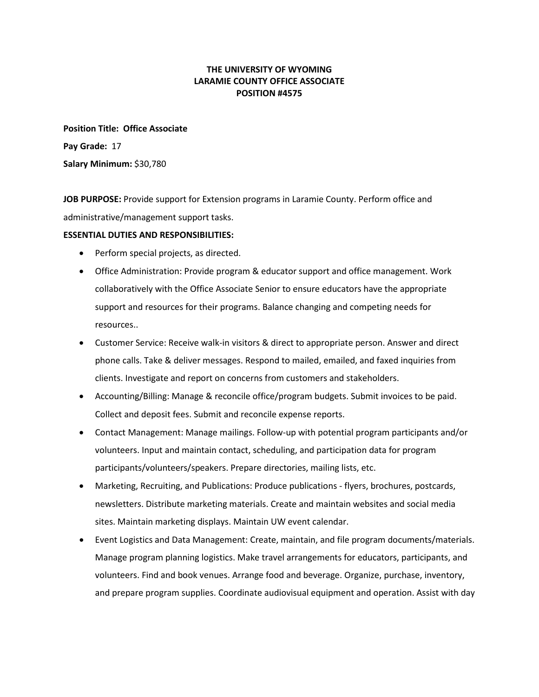# **THE UNIVERSITY OF WYOMING LARAMIE COUNTY OFFICE ASSOCIATE POSITION #4575**

**Position Title: Office Associate Pay Grade:** [17](http://uwadmnweb.uwyo.edu/hremployment/paygrade/index.asp) **Salary Minimum:** \$30,780

**JOB PURPOSE:** Provide support for Extension programs in Laramie County. Perform office and administrative/management support tasks.

### **ESSENTIAL DUTIES AND RESPONSIBILITIES:**

- Perform special projects, as directed.
- Office Administration: Provide program & educator support and office management. Work collaboratively with the Office Associate Senior to ensure educators have the appropriate support and resources for their programs. Balance changing and competing needs for resources..
- Customer Service: Receive walk-in visitors & direct to appropriate person. Answer and direct phone calls. Take & deliver messages. Respond to mailed, emailed, and faxed inquiries from clients. Investigate and report on concerns from customers and stakeholders.
- Accounting/Billing: Manage & reconcile office/program budgets. Submit invoices to be paid. Collect and deposit fees. Submit and reconcile expense reports.
- Contact Management: Manage mailings. Follow-up with potential program participants and/or volunteers. Input and maintain contact, scheduling, and participation data for program participants/volunteers/speakers. Prepare directories, mailing lists, etc.
- Marketing, Recruiting, and Publications: Produce publications flyers, brochures, postcards, newsletters. Distribute marketing materials. Create and maintain websites and social media sites. Maintain marketing displays. Maintain UW event calendar.
- Event Logistics and Data Management: Create, maintain, and file program documents/materials. Manage program planning logistics. Make travel arrangements for educators, participants, and volunteers. Find and book venues. Arrange food and beverage. Organize, purchase, inventory, and prepare program supplies. Coordinate audiovisual equipment and operation. Assist with day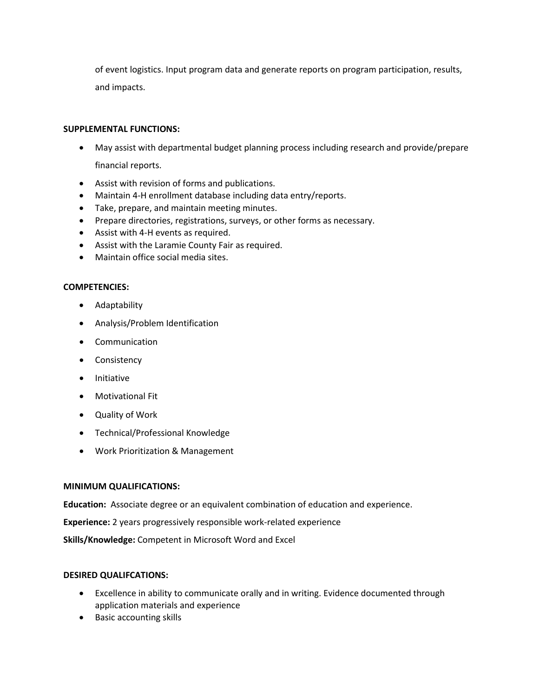of event logistics. Input program data and generate reports on program participation, results, and impacts.

### **SUPPLEMENTAL FUNCTIONS:**

- May assist with departmental budget planning process including research and provide/prepare financial reports.
- Assist with revision of forms and publications.
- Maintain 4-H enrollment database including data entry/reports.
- Take, prepare, and maintain meeting minutes.
- Prepare directories, registrations, surveys, or other forms as necessary.
- Assist with 4-H events as required.
- Assist with the Laramie County Fair as required.
- Maintain office social media sites.

# **COMPETENCIES:**

- Adaptability
- Analysis/Problem Identification
- Communication
- Consistency
- Initiative
- Motivational Fit
- Quality of Work
- Technical/Professional Knowledge
- Work Prioritization & Management

#### **MINIMUM QUALIFICATIONS:**

**Education:** Associate degree or an equivalent combination of education and experience.

**Experience:** 2 years progressively responsible work-related experience

**Skills/Knowledge:** Competent in Microsoft Word and Excel

# **DESIRED QUALIFCATIONS:**

- Excellence in ability to communicate orally and in writing. Evidence documented through application materials and experience
- Basic accounting skills